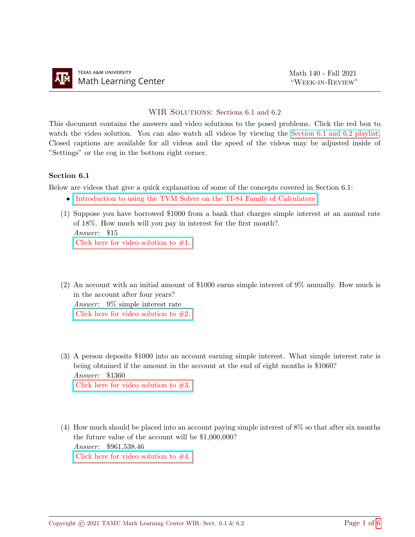## WIR SOLUTIONS: Sections 6.1 and 6.2

This document contains the answers and video solutions to the posed problems. Click the red box to watch the video solution. You can also watch all videos by viewing the [Section 6.1 and 6.2 playlist.](https://youtube.com/playlist?list=PLwFg2cC3rFdmMk71PHEShP92scBeSnDX0) Closed captions are available for all videos and the speed of the videos may be adjusted inside of "Settings" or the cog in the bottom right corner.

## Section 6.1

Below are videos that give a quick explanation of some of the concepts covered in Section 6.1:

- [Introduction to using the TVM Solver on the TI-84 Family of Calculators](https://youtu.be/dDYfzE3xqu0)
- (1) Suppose you have borrowed \$1000 from a bank that charges simple interest at an annual rate of 18%. How much will you pay in interest for the first month?. Answer: \$15 Click here for video solution to  $#1$ .
- (2) An account with an initial amount of \$1000 earns simple interest of 9% annually. How much is in the account after four years?

Answer: 9% simple interest rate Click here for video solution to  $#2$ .

(3) A person deposits \$1000 into an account earning simple interest. What simple interest rate is being obtained if the amount in the account at the end of eight months is \$1060? Answer: \$1360

Click here for video solution to  $#3$ .

(4) How much should be placed into an account paying simple interest of 8% so that after six months the future value of the account will be \$1,000,000? Answer: \$961,538.46 Click here for video solution to  $#4$ .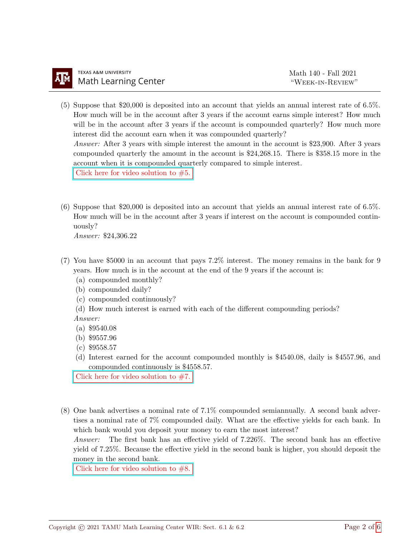- (5) Suppose that \$20,000 is deposited into an account that yields an annual interest rate of 6.5%. How much will be in the account after 3 years if the account earns simple interest? How much will be in the account after 3 years if the account is compounded quarterly? How much more interest did the account earn when it was compounded quarterly? Answer: After 3 years with simple interest the amount in the account is \$23,900. After 3 years compounded quarterly the amount in the account is \$24,268.15. There is \$358.15 more in the account when it is compounded quarterly compared to simple interest. Click here for video solution to  $#5$ .
- (6) Suppose that \$20,000 is deposited into an account that yields an annual interest rate of 6.5%. How much will be in the account after 3 years if interest on the account is compounded continuously?

Answer: \$24,306.22

- (7) You have \$5000 in an account that pays 7.2% interest. The money remains in the bank for 9 years. How much is in the account at the end of the 9 years if the account is:
	- (a) compounded monthly?
	- (b) compounded daily?
	- (c) compounded continuously?
	- (d) How much interest is earned with each of the different compounding periods?

Answer:

- (a) \$9540.08
- (b) \$9557.96
- (c) \$9558.57
- (d) Interest earned for the account compounded monthly is \$4540.08, daily is \$4557.96, and compounded continuously is \$4558.57.

Click here for video solution to  $#7$ .

(8) One bank advertises a nominal rate of 7.1% compounded semiannually. A second bank advertises a nominal rate of 7% compounded daily. What are the effective yields for each bank. In which bank would you deposit your money to earn the most interest?

Answer: The first bank has an effective yield of 7.226%. The second bank has an effective yield of 7.25%. Because the effective yield in the second bank is higher, you should deposit the money in the second bank.

Click here for video solution to  $#8$ .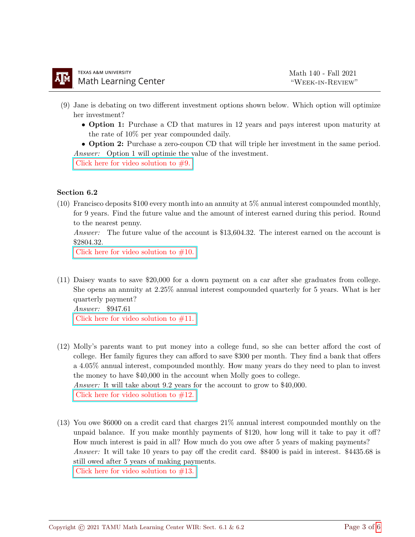- (9) Jane is debating on two different investment options shown below. Which option will optimize her investment?
	- Option 1: Purchase a CD that matures in 12 years and pays interest upon maturity at the rate of 10% per year compounded daily.

• Option 2: Purchase a zero-coupon CD that will triple her investment in the same period. Answer: Option 1 will optimie the value of the investment.

Click here for video solution to  $#9$ .

## Section 6.2

(10) Francisco deposits \$100 every month into an annuity at 5% annual interest compounded monthly, for 9 years. Find the future value and the amount of interest earned during this period. Round to the nearest penny.

Answer: The future value of the account is \$13,604.32. The interest earned on the account is \$2804.32.

Click here for video solution to  $#10$ .

(11) Daisey wants to save \$20,000 for a down payment on a car after she graduates from college. She opens an annuity at 2.25% annual interest compounded quarterly for 5 years. What is her quarterly payment?

Answer: \$947.61

Click here for video solution to  $#11$ .

- (12) Molly's parents want to put money into a college fund, so she can better afford the cost of college. Her family figures they can afford to save \$300 per month. They find a bank that offers a 4.05% annual interest, compounded monthly. How many years do they need to plan to invest the money to have \$40,000 in the account when Molly goes to college. Answer: It will take about 9.2 years for the account to grow to \$40,000. Click here for video solution to  $#12$ .
- (13) You owe \$6000 on a credit card that charges 21% annual interest compounded monthly on the unpaid balance. If you make monthly payments of \$120, how long will it take to pay it off? How much interest is paid in all? How much do you owe after 5 years of making payments? Answer: It will take 10 years to pay off the credit card. \$8400 is paid in interest. \$4435.68 is still owed after 5 years of making payments.

Click here for video solution to  $#13$ .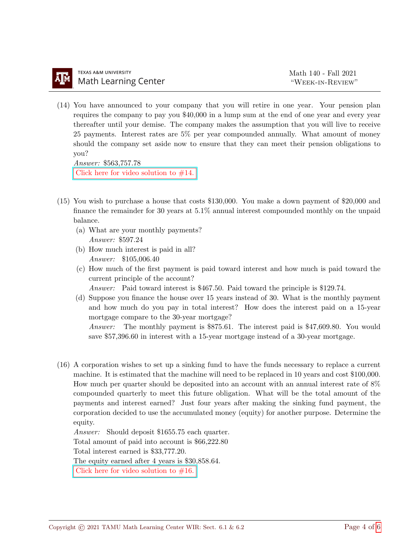(14) You have announced to your company that you will retire in one year. Your pension plan requires the company to pay you \$40,000 in a lump sum at the end of one year and every year thereafter until your demise. The company makes the assumption that you will live to receive 25 payments. Interest rates are 5% per year compounded annually. What amount of money should the company set aside now to ensure that they can meet their pension obligations to you?

Answer: \$563,757.78 Click here for video solution to  $#14$ .

- (15) You wish to purchase a house that costs \$130,000. You make a down payment of \$20,000 and finance the remainder for 30 years at 5.1% annual interest compounded monthly on the unpaid balance.
	- (a) What are your monthly payments? Answer: \$597.24
	- (b) How much interest is paid in all? Answer: \$105,006.40
	- (c) How much of the first payment is paid toward interest and how much is paid toward the current principle of the account?

Answer: Paid toward interest is \$467.50. Paid toward the principle is \$129.74.

(d) Suppose you finance the house over 15 years instead of 30. What is the monthly payment and how much do you pay in total interest? How does the interest paid on a 15-year mortgage compare to the 30-year mortgage?

Answer: The monthly payment is \$875.61. The interest paid is \$47,609.80. You would save \$57,396.60 in interest with a 15-year mortgage instead of a 30-year mortgage.

(16) A corporation wishes to set up a sinking fund to have the funds necessary to replace a current machine. It is estimated that the machine will need to be replaced in 10 years and cost \$100,000. How much per quarter should be deposited into an account with an annual interest rate of 8% compounded quarterly to meet this future obligation. What will be the total amount of the payments and interest earned? Just four years after making the sinking fund payment, the corporation decided to use the accumulated money (equity) for another purpose. Determine the equity.

Answer: Should deposit \$1655.75 each quarter.

Total amount of paid into account is \$66,222.80

Total interest earned is \$33,777.20.

The equity earned after 4 years is \$30,858.64.

Click here for video solution to  $#16$ .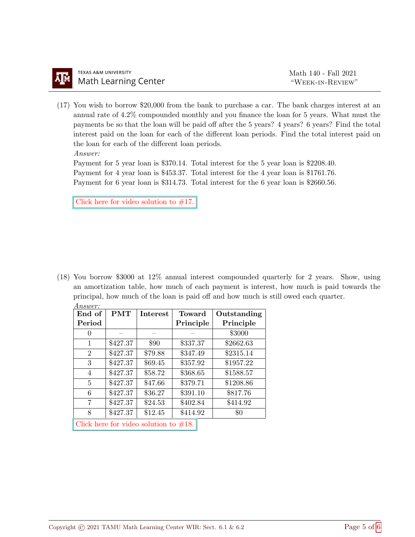(17) You wish to borrow \$20,000 from the bank to purchase a car. The bank charges interest at an annual rate of 4.2% compounded monthly and you finance the loan for 5 years. What must the payments be so that the loan will be paid off after the 5 years? 4 years? 6 years? Find the total interest paid on the loan for each of the different loan periods. Find the total interest paid on the loan for each of the different loan periods. Answer:

Payment for 5 year loan is \$370.14. Total interest for the 5 year loan is \$2208.40. Payment for 4 year loan is \$453.37. Total interest for the 4 year loan is \$1761.76. Payment for 6 year loan is \$314.73. Total interest for the 6 year loan is \$2660.56.

Click here for video solution to  $#17$ .

(18) You borrow \$3000 at 12% annual interest compounded quarterly for 2 years. Show, using an amortization table, how much of each payment is interest, how much is paid towards the principal, how much of the loan is paid off and how much is still owed each quarter. Answer:

| End of           | <b>PMT</b> | <b>Interest</b>                          | Toward    | Outstanding |
|------------------|------------|------------------------------------------|-----------|-------------|
| Period           |            |                                          | Principle | Principle   |
| $\left( \right)$ |            |                                          |           | \$3000      |
| 1                | \$427.37   | \$90                                     | \$337.37  | \$2662.63   |
| $\overline{2}$   | \$427.37   | \$79.88                                  | \$347.49  | \$2315.14   |
| 3                | \$427.37   | \$69.45                                  | \$357.92  | \$1957.22   |
| 4                | \$427.37   | \$58.72                                  | \$368.65  | \$1588.57   |
| 5                | \$427.37   | \$47.66                                  | \$379.71  | \$1208.86   |
| 6                | \$427.37   | \$36.27                                  | \$391.10  | \$817.76    |
| 7                | \$427.37   | \$24.53                                  | \$402.84  | \$414.92    |
| 8                | \$427.37   | \$12.45                                  | \$414.92  | $\$0$       |
|                  |            | Click here for video solution to $#18$ . |           |             |